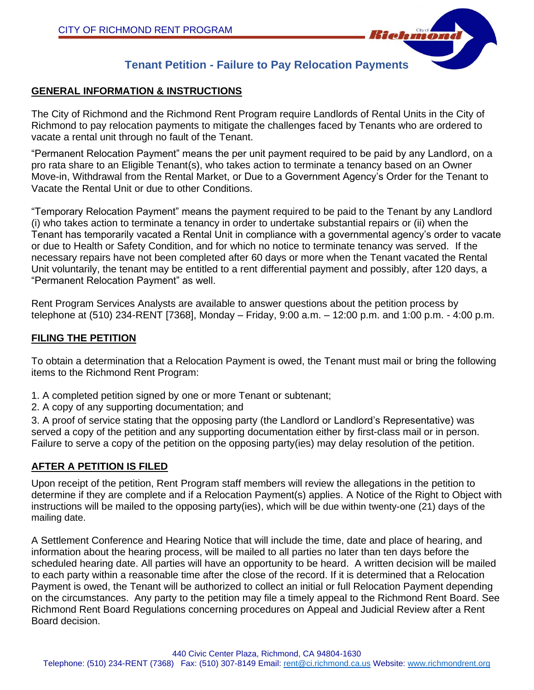

# **Tenant Petition - Failure to Pay Relocation Payments**

### **GENERAL INFORMATION & INSTRUCTIONS**

The City of Richmond and the Richmond Rent Program require Landlords of Rental Units in the City of Richmond to pay relocation payments to mitigate the challenges faced by Tenants who are ordered to vacate a rental unit through no fault of the Tenant.

"Permanent Relocation Payment" means the per unit payment required to be paid by any Landlord, on a pro rata share to an Eligible Tenant(s), who takes action to terminate a tenancy based on an Owner Move-in, Withdrawal from the Rental Market, or Due to a Government Agency's Order for the Tenant to Vacate the Rental Unit or due to other Conditions.

"Temporary Relocation Payment" means the payment required to be paid to the Tenant by any Landlord (i) who takes action to terminate a tenancy in order to undertake substantial repairs or (ii) when the Tenant has temporarily vacated a Rental Unit in compliance with a governmental agency's order to vacate or due to Health or Safety Condition, and for which no notice to terminate tenancy was served. If the necessary repairs have not been completed after 60 days or more when the Tenant vacated the Rental Unit voluntarily, the tenant may be entitled to a rent differential payment and possibly, after 120 days, a "Permanent Relocation Payment" as well.

Rent Program Services Analysts are available to answer questions about the petition process by telephone at (510) 234-RENT [7368], Monday – Friday, 9:00 a.m. – 12:00 p.m. and 1:00 p.m. - 4:00 p.m.

#### **FILING THE PETITION**

To obtain a determination that a Relocation Payment is owed, the Tenant must mail or bring the following items to the Richmond Rent Program:

- 1. A completed petition signed by one or more Tenant or subtenant;
- 2. A copy of any supporting documentation; and

3. A proof of service stating that the opposing party (the Landlord or Landlord's Representative) was served a copy of the petition and any supporting documentation either by first-class mail or in person. Failure to serve a copy of the petition on the opposing party(ies) may delay resolution of the petition.

## **AFTER A PETITION IS FILED**

Upon receipt of the petition, Rent Program staff members will review the allegations in the petition to determine if they are complete and if a Relocation Payment(s) applies. A Notice of the Right to Object with instructions will be mailed to the opposing party(ies), which will be due within twenty-one (21) days of the mailing date.

A Settlement Conference and Hearing Notice that will include the time, date and place of hearing, and information about the hearing process, will be mailed to all parties no later than ten days before the scheduled hearing date. All parties will have an opportunity to be heard. A written decision will be mailed to each party within a reasonable time after the close of the record. If it is determined that a Relocation Payment is owed, the Tenant will be authorized to collect an initial or full Relocation Payment depending on the circumstances. Any party to the petition may file a timely appeal to the Richmond Rent Board. See Richmond Rent Board Regulations concerning procedures on Appeal and Judicial Review after a Rent Board decision.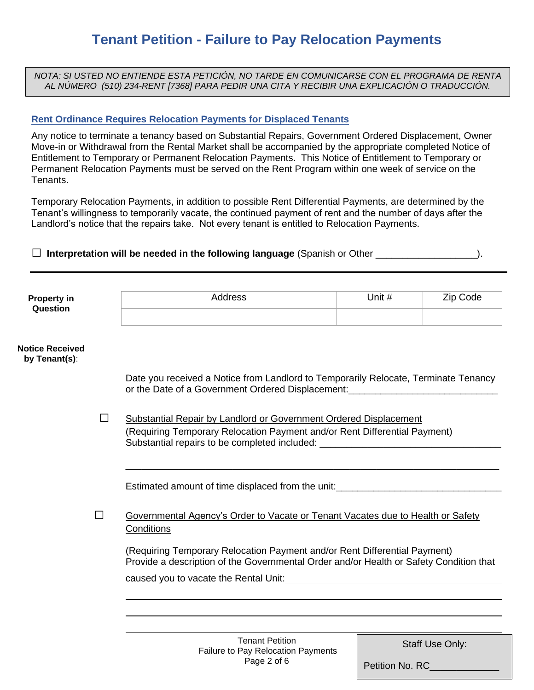*NOTA: SI USTED NO ENTIENDE ESTA PETICIÓN, NO TARDE EN COMUNICARSE CON EL PROGRAMA DE RENTA AL NÚMERO (510) 234-RENT [7368] PARA PEDIR UNA CITA Y RECIBIR UNA EXPLICACIÓN O TRADUCCIÓN.*

### **Rent Ordinance Requires Relocation Payments for Displaced Tenants**

Any notice to terminate a tenancy based on Substantial Repairs, Government Ordered Displacement, Owner Move-in or Withdrawal from the Rental Market shall be accompanied by the appropriate completed Notice of Entitlement to Temporary or Permanent Relocation Payments. This Notice of Entitlement to Temporary or Permanent Relocation Payments must be served on the Rent Program within one week of service on the Tenants.

Temporary Relocation Payments, in addition to possible Rent Differential Payments, are determined by the Tenant's willingness to temporarily vacate, the continued payment of rent and the number of days after the Landlord's notice that the repairs take. Not every tenant is entitled to Relocation Payments.

□ **Interpretation will be needed in the following language** (Spanish or Other \_\_\_\_\_\_\_\_\_\_\_\_\_\_\_\_\_\_\_).

| <b>Property in</b><br>Question | ddress | Jnit # | Code |
|--------------------------------|--------|--------|------|
|                                |        |        |      |

#### **Notice Received by Tenant(s)**:

Date you received a Notice from Landlord to Temporarily Relocate, Terminate Tenancy or the Date of a Government Ordered Displacement:

\_\_\_\_\_\_\_\_\_\_\_\_\_\_\_\_\_\_\_\_\_\_\_\_\_\_\_\_\_\_\_\_\_\_\_\_\_\_\_\_\_\_\_\_\_\_\_\_\_\_\_\_\_\_\_\_\_\_\_\_\_\_\_\_\_\_\_\_\_\_

 □ Substantial Repair by Landlord or Government Ordered Displacement (Requiring Temporary Relocation Payment and/or Rent Differential Payment) Substantial repairs to be completed included:

Estimated amount of time displaced from the unit:\_\_\_\_\_\_\_\_\_\_\_\_\_\_\_\_\_\_\_\_\_\_\_\_\_\_\_\_\_\_\_

□ Governmental Agency's Order to Vacate or Tenant Vacates due to Health or Safety **Conditions** 

(Requiring Temporary Relocation Payment and/or Rent Differential Payment) Provide a description of the Governmental Order and/or Health or Safety Condition that

caused you to vacate the Rental Unit:

Staff Use Only:

Petition No. RC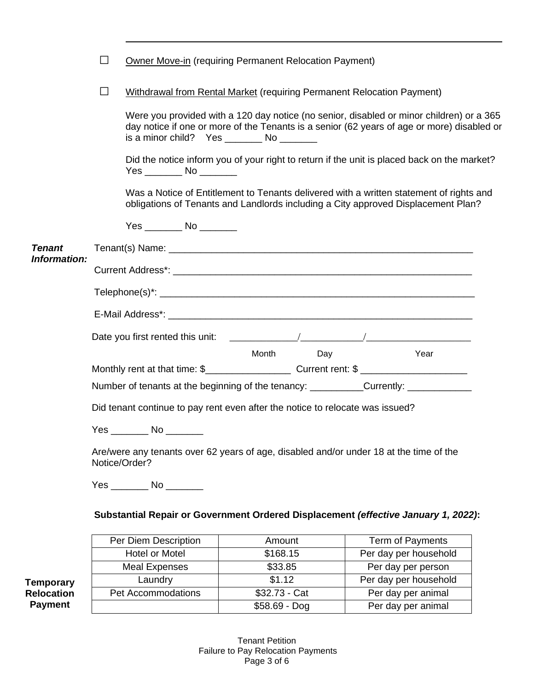|  | <b>Owner Move-in (requiring Permanent Relocation Payment)</b> |  |
|--|---------------------------------------------------------------|--|

□ Withdrawal from Rental Market (requiring Permanent Relocation Payment)

Were you provided with a 120 day notice (no senior, disabled or minor children) or a 365 day notice if one or more of the Tenants is a senior (62 years of age or more) disabled or is a minor child? Yes \_\_\_\_\_\_\_\_ No \_\_\_\_\_\_\_

Did the notice inform you of your right to return if the unit is placed back on the market? Yes \_\_\_\_\_\_\_ No \_\_\_\_\_\_\_

Was a Notice of Entitlement to Tenants delivered with a written statement of rights and obligations of Tenants and Landlords including a City approved Displacement Plan?

|               | $Yes$ No $\qquad$                                                                                       |           |      |  |
|---------------|---------------------------------------------------------------------------------------------------------|-----------|------|--|
| <b>Tenant</b> |                                                                                                         |           |      |  |
| Information:  |                                                                                                         |           |      |  |
|               |                                                                                                         |           |      |  |
|               |                                                                                                         |           |      |  |
|               |                                                                                                         |           |      |  |
|               |                                                                                                         | Month Day | Year |  |
|               |                                                                                                         |           |      |  |
|               | Number of tenants at the beginning of the tenancy: __________Currently: _________                       |           |      |  |
|               | Did tenant continue to pay rent even after the notice to relocate was issued?                           |           |      |  |
|               | $Yes$ No $\qquad \qquad$ No $\qquad \qquad$                                                             |           |      |  |
|               | Are/were any tenants over 62 years of age, disabled and/or under 18 at the time of the<br>Notice/Order? |           |      |  |
|               | Yes _________ No ________                                                                               |           |      |  |
|               | Substantial Repair or Government Ordered Displacement (effective January 1, 2022):                      |           |      |  |

|    | Per Diem Description | Amount         | Term of Payments      |
|----|----------------------|----------------|-----------------------|
|    | Hotel or Motel       | \$168.15       | Per day per household |
|    | <b>Meal Expenses</b> | \$33.85        | Per day per person    |
| ry | Laundry              | \$1.12         | Per day per household |
| 'n | Pet Accommodations   | \$32.73 - Cat  | Per day per animal    |
|    |                      | $$58.69 - Dog$ | Per day per animal    |

**Temporar Relocation Payment**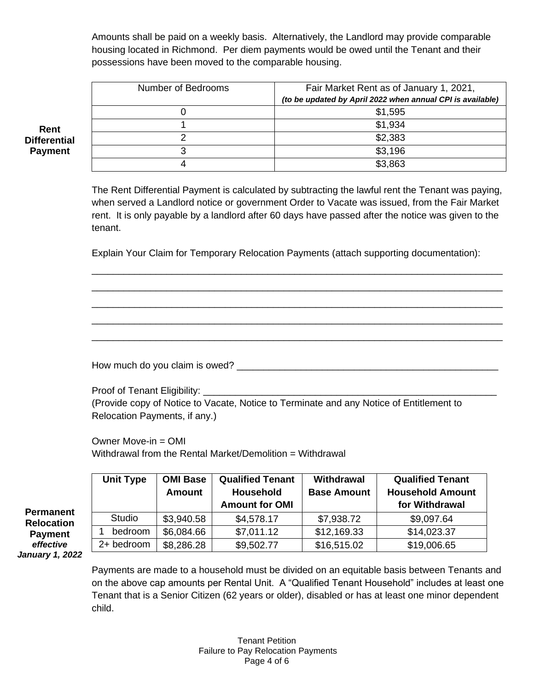Amounts shall be paid on a weekly basis. Alternatively, the Landlord may provide comparable housing located in Richmond. Per diem payments would be owed until the Tenant and their possessions have been moved to the comparable housing.

| Number of Bedrooms | Fair Market Rent as of January 1, 2021,                    |
|--------------------|------------------------------------------------------------|
|                    | (to be updated by April 2022 when annual CPI is available) |
|                    | \$1,595                                                    |
|                    | \$1,934                                                    |
|                    | \$2,383                                                    |
|                    | \$3,196                                                    |
|                    | \$3.863                                                    |

**Rent Differential Payment**

> The Rent Differential Payment is calculated by subtracting the lawful rent the Tenant was paying, when served a Landlord notice or government Order to Vacate was issued, from the Fair Market rent. It is only payable by a landlord after 60 days have passed after the notice was given to the tenant.

> \_\_\_\_\_\_\_\_\_\_\_\_\_\_\_\_\_\_\_\_\_\_\_\_\_\_\_\_\_\_\_\_\_\_\_\_\_\_\_\_\_\_\_\_\_\_\_\_\_\_\_\_\_\_\_\_\_\_\_\_\_\_\_\_\_\_\_\_\_\_\_\_\_\_\_\_\_ \_\_\_\_\_\_\_\_\_\_\_\_\_\_\_\_\_\_\_\_\_\_\_\_\_\_\_\_\_\_\_\_\_\_\_\_\_\_\_\_\_\_\_\_\_\_\_\_\_\_\_\_\_\_\_\_\_\_\_\_\_\_\_\_\_\_\_\_\_\_\_\_\_\_\_\_\_ \_\_\_\_\_\_\_\_\_\_\_\_\_\_\_\_\_\_\_\_\_\_\_\_\_\_\_\_\_\_\_\_\_\_\_\_\_\_\_\_\_\_\_\_\_\_\_\_\_\_\_\_\_\_\_\_\_\_\_\_\_\_\_\_\_\_\_\_\_\_\_\_\_\_\_\_\_ \_\_\_\_\_\_\_\_\_\_\_\_\_\_\_\_\_\_\_\_\_\_\_\_\_\_\_\_\_\_\_\_\_\_\_\_\_\_\_\_\_\_\_\_\_\_\_\_\_\_\_\_\_\_\_\_\_\_\_\_\_\_\_\_\_\_\_\_\_\_\_\_\_\_\_\_\_ \_\_\_\_\_\_\_\_\_\_\_\_\_\_\_\_\_\_\_\_\_\_\_\_\_\_\_\_\_\_\_\_\_\_\_\_\_\_\_\_\_\_\_\_\_\_\_\_\_\_\_\_\_\_\_\_\_\_\_\_\_\_\_\_\_\_\_\_\_\_\_\_\_\_\_\_\_

Explain Your Claim for Temporary Relocation Payments (attach supporting documentation):

How much do you claim is owed? \_\_\_\_\_\_\_\_\_\_\_\_\_\_\_\_\_\_\_\_\_\_\_\_\_\_\_\_\_\_\_\_\_\_\_\_\_\_\_\_\_\_\_\_\_\_\_\_\_

Proof of Tenant Eligibility: (Provide copy of Notice to Vacate, Notice to Terminate and any Notice of Entitlement to Relocation Payments, if any.)

Owner Move-in = OMI Withdrawal from the Rental Market/Demolition = Withdrawal

|                        | <b>Unit Type</b> | <b>OMI Base</b><br><b>Amount</b> | <b>Qualified Tenant</b><br><b>Household</b> | <b>Withdrawal</b><br><b>Base Amount</b> | <b>Qualified Tenant</b><br><b>Household Amount</b> |
|------------------------|------------------|----------------------------------|---------------------------------------------|-----------------------------------------|----------------------------------------------------|
| <b>Permanent</b>       |                  |                                  | <b>Amount for OMI</b>                       |                                         | for Withdrawal                                     |
| <b>Relocation</b>      | Studio           | \$3,940.58                       | \$4,578.17                                  | \$7,938.72                              | \$9,097.64                                         |
| <b>Payment</b>         | bedroom          | \$6,084.66                       | \$7,011.12                                  | \$12,169.33                             | \$14,023.37                                        |
| effective              | 2+ bedroom       | \$8,286.28                       | \$9,502.77                                  | \$16,515.02                             | \$19,006.65                                        |
| <b>January 1, 2022</b> |                  |                                  |                                             |                                         |                                                    |

Payments are made to a household must be divided on an equitable basis between Tenants and on the above cap amounts per Rental Unit. A "Qualified Tenant Household" includes at least one Tenant that is a Senior Citizen (62 years or older), disabled or has at least one minor dependent child.

**Qualified Tenant**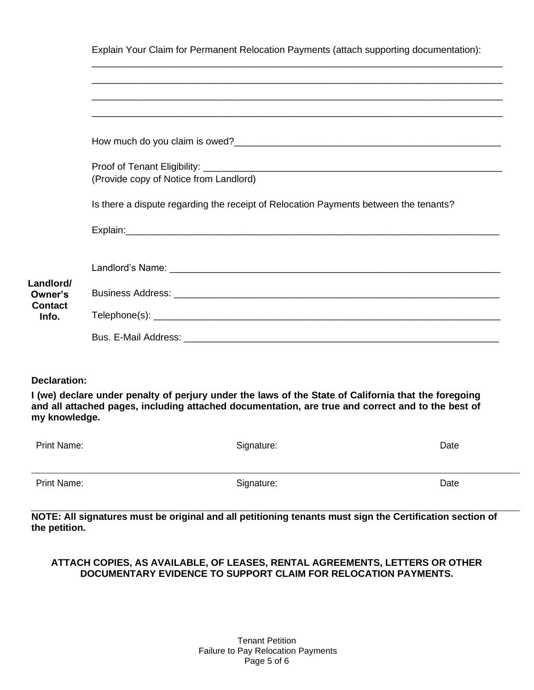|  |  |  | Explain Your Claim for Permanent Relocation Payments (attach supporting documentation): |  |
|--|--|--|-----------------------------------------------------------------------------------------|--|
|  |  |  |                                                                                         |  |

\_\_\_\_\_\_\_\_\_\_\_\_\_\_\_\_\_\_\_\_\_\_\_\_\_\_\_\_\_\_\_\_\_\_\_\_\_\_\_\_\_\_\_\_\_\_\_\_\_\_\_\_\_\_\_\_\_\_\_\_\_\_\_\_\_\_\_\_\_\_\_\_\_\_\_\_\_

|                         | (Provide copy of Notice from Landlord)                                               |
|-------------------------|--------------------------------------------------------------------------------------|
|                         | Is there a dispute regarding the receipt of Relocation Payments between the tenants? |
|                         |                                                                                      |
|                         |                                                                                      |
| Landlord/               |                                                                                      |
| Owner's                 |                                                                                      |
| <b>Contact</b><br>Info. |                                                                                      |
|                         |                                                                                      |

#### **Declaration:**

**I (we) declare under penalty of perjury under the laws of the State of California that the foregoing and all attached pages, including attached documentation, are true and correct and to the best of my knowledge.**

| Date                     |
|--------------------------|
|                          |
|                          |
|                          |
| Date                     |
|                          |
| Signature:<br>Signature: |

**NOTE: All signatures must be original and all petitioning tenants must sign the Certification section of the petition.**

#### **ATTACH COPIES, AS AVAILABLE, OF LEASES, RENTAL AGREEMENTS, LETTERS OR OTHER DOCUMENTARY EVIDENCE TO SUPPORT CLAIM FOR RELOCATION PAYMENTS.**